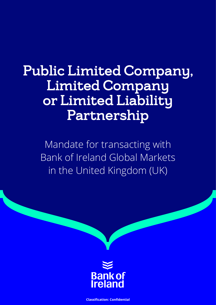# Public Limited Company, Limited Company or Limited Liability Partnership

Mandate for transacting with Bank of Ireland Global Markets in the United Kingdom (UK)



**Classification: Confidential**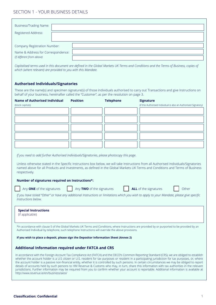# SECTION 1 - YOUR BUSINESS DETAILS

| <b>Business/Trading Name:</b>      |  |
|------------------------------------|--|
|                                    |  |
| Registered Address:                |  |
|                                    |  |
|                                    |  |
| Company Registration Number:       |  |
|                                    |  |
| Name & Address for Correspondence: |  |
| (if different from above)          |  |

*Capitalised terms used in this document are defined in the Global Markets UK Terms and Conditions and the Terms of Business, copies of which (where relevant) are provided to you with this Mandate.*

## **Authorised Individuals/Signatories**

These are the name(s) and specimen signature(s) of those individuals authorised to carry out Transactions and give Instructions on behalf of your business, hereinafter called the "Customer", as per the resolution on page 3.

| <b>Name of Authorised Individual</b>                                                                | <b>Position</b>           | <b>Telephone</b> | <b>Signature</b>                                                                                                                                                                                                                                                                                       |
|-----------------------------------------------------------------------------------------------------|---------------------------|------------------|--------------------------------------------------------------------------------------------------------------------------------------------------------------------------------------------------------------------------------------------------------------------------------------------------------|
| (block capitals)                                                                                    |                           |                  | (if this Authorised Individual is also an Authorised Signatory)                                                                                                                                                                                                                                        |
|                                                                                                     |                           |                  |                                                                                                                                                                                                                                                                                                        |
|                                                                                                     |                           |                  |                                                                                                                                                                                                                                                                                                        |
|                                                                                                     |                           |                  |                                                                                                                                                                                                                                                                                                        |
|                                                                                                     |                           |                  |                                                                                                                                                                                                                                                                                                        |
|                                                                                                     |                           |                  |                                                                                                                                                                                                                                                                                                        |
|                                                                                                     |                           |                  |                                                                                                                                                                                                                                                                                                        |
|                                                                                                     |                           |                  |                                                                                                                                                                                                                                                                                                        |
|                                                                                                     |                           |                  |                                                                                                                                                                                                                                                                                                        |
|                                                                                                     |                           |                  |                                                                                                                                                                                                                                                                                                        |
| If you need to add further Authorised Individuals/Signatories, please photocopy this page.          |                           |                  |                                                                                                                                                                                                                                                                                                        |
|                                                                                                     |                           |                  |                                                                                                                                                                                                                                                                                                        |
|                                                                                                     |                           |                  | Unless otherwise stated in the Specific Instructions box below, we will take Instructions from all Authorised Individuals/Signatories                                                                                                                                                                  |
|                                                                                                     |                           |                  | named above for all Products and Investments, as defined in the Global Markets UK Terms and Conditions and Terms of Business                                                                                                                                                                           |
| respectively.                                                                                       |                           |                  |                                                                                                                                                                                                                                                                                                        |
|                                                                                                     |                           |                  |                                                                                                                                                                                                                                                                                                        |
| Number of signatures required on Instructions*:                                                     |                           |                  |                                                                                                                                                                                                                                                                                                        |
| Any ONE of the signatures                                                                           | Any TWO of the signatures |                  | ALL of the signatures<br>Other                                                                                                                                                                                                                                                                         |
|                                                                                                     |                           |                  |                                                                                                                                                                                                                                                                                                        |
| Instructions below.                                                                                 |                           |                  | If you have ticked "Other" or have any additional Instructions or limitations which you wish to apply to your Mandate, please give specific                                                                                                                                                            |
|                                                                                                     |                           |                  |                                                                                                                                                                                                                                                                                                        |
|                                                                                                     |                           |                  |                                                                                                                                                                                                                                                                                                        |
| <b>Special Instructions</b>                                                                         |                           |                  |                                                                                                                                                                                                                                                                                                        |
| (if applicable)                                                                                     |                           |                  |                                                                                                                                                                                                                                                                                                        |
|                                                                                                     |                           |                  |                                                                                                                                                                                                                                                                                                        |
|                                                                                                     |                           |                  | *In accordance with clause 5 of the Global Markets UK Terms and Conditions, where Instructions are provided by or purported to be provided by an                                                                                                                                                       |
| Authorised Individual by telephone, such telephone Instructions will override the above provisions. |                           |                  |                                                                                                                                                                                                                                                                                                        |
| If you wish to place a deposit, please sign the Depositor Information Sheet (Annex 2)               |                           |                  |                                                                                                                                                                                                                                                                                                        |
|                                                                                                     |                           |                  |                                                                                                                                                                                                                                                                                                        |
|                                                                                                     |                           |                  |                                                                                                                                                                                                                                                                                                        |
| Additional Information required under FATCA and CRS                                                 |                           |                  |                                                                                                                                                                                                                                                                                                        |
|                                                                                                     |                           |                  | In accordance with the Foreign Account Tax Compliance Act (FATCA) and the OECD's Common Reporting Standard (CRS), we are obliged to establish                                                                                                                                                          |
|                                                                                                     |                           |                  | whether the account holder is a U.S citizen or U.S. resident for tax purposes or resident in a participating jurisdiction for tax purposes, or, where                                                                                                                                                  |
|                                                                                                     |                           |                  | the account holder is a passive non-financial entity, whether it is controlled by such persons. In certain circumstances we may be obliged to report<br>details of accounts held by such persons to HM Revenue & Customs who may, in turn, share this information with tax authorities in the relevant |
|                                                                                                     |                           |                  | jurisdictions. Further information may be required from you to confirm whether your account is reportable. Additional information is available at                                                                                                                                                      |
| http://www.revenue.ie/en/business/aeoi/                                                             |                           |                  |                                                                                                                                                                                                                                                                                                        |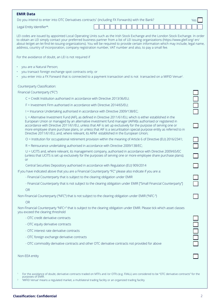| <b>EMIR Data</b><br>Do you intend to enter into OTC Derivatives contracts <sup>1</sup> (including FX Forwards) with the Bank?                                                                                                                                                                                                                                                                                                                                                                                                                              |  |  |  |  |  |  |  |  | Yes |
|------------------------------------------------------------------------------------------------------------------------------------------------------------------------------------------------------------------------------------------------------------------------------------------------------------------------------------------------------------------------------------------------------------------------------------------------------------------------------------------------------------------------------------------------------------|--|--|--|--|--|--|--|--|-----|
| Legal Entity Identifier*:                                                                                                                                                                                                                                                                                                                                                                                                                                                                                                                                  |  |  |  |  |  |  |  |  |     |
| LEI codes are issued by appointed Local Operating Units such as the Irish Stock Exchange and the London Stock Exchange. In order<br>to obtain an LEI simply contact your preferred business partner from a list of LEI issuing organizations (https://www.gleif.org/ en/<br>about-lei/get-an-lei-find-lei-issuing-organizations). You will be required to provide certain information which may include, legal name,<br>address, country of incorporation, company registration number, VAT number and also, to pay a small fee.                           |  |  |  |  |  |  |  |  |     |
| For the avoidance of doubt, an LEI is not required if                                                                                                                                                                                                                                                                                                                                                                                                                                                                                                      |  |  |  |  |  |  |  |  |     |
| you are a Natural Person;<br>you transact foreign exchange spot contracts only; or<br>you enter into a FX Forward that is connected to a payment transaction and is not transacted on a MIFID Venue <sup>2</sup> .                                                                                                                                                                                                                                                                                                                                         |  |  |  |  |  |  |  |  |     |
| Counterparty Classification:                                                                                                                                                                                                                                                                                                                                                                                                                                                                                                                               |  |  |  |  |  |  |  |  |     |
| Financial Counterparty ("FC")                                                                                                                                                                                                                                                                                                                                                                                                                                                                                                                              |  |  |  |  |  |  |  |  |     |
| C = Credit Institution authorised in accordance with Directive 2013/36/EU;                                                                                                                                                                                                                                                                                                                                                                                                                                                                                 |  |  |  |  |  |  |  |  |     |
| F = Investment Firm authorised in accordance with Directive 2014/65/EU;                                                                                                                                                                                                                                                                                                                                                                                                                                                                                    |  |  |  |  |  |  |  |  |     |
| I = Insurance Undertaking authorised in accordance with Directive 2009/138/EC;                                                                                                                                                                                                                                                                                                                                                                                                                                                                             |  |  |  |  |  |  |  |  |     |
| L = Alternative Investment Fund (AIF), as defined in Directive 2011/61/EU, which is either established in the<br>European Union or managed by an alternative investment fund manager (AIFM)s authorised or registered in<br>accordance with Directive 2011/61/EU, unless that AIF is set up exclusively for the purpose of serving one or<br>more employee share purchase plans, or unless that AIF is a securitisation special purpose entity as referred to in<br>Directive 2011/61/EU, and, where relevant, its AIFM established in the European Union; |  |  |  |  |  |  |  |  |     |
| O = Institution for occupational retirement provision within the meaning of Article 6 of Directive (EU) 2016/2341;                                                                                                                                                                                                                                                                                                                                                                                                                                         |  |  |  |  |  |  |  |  |     |
| R = Reinsurance undertaking authorised in accordance with Directive 2009/138/EC;                                                                                                                                                                                                                                                                                                                                                                                                                                                                           |  |  |  |  |  |  |  |  |     |
| U = UCITS and, where relevant, its management company, authorised in accordance with Directive 2009/65/EC<br>(unless that UCITS is set up exclusively for the purposes of serving one or more employee share purchase plans);<br><b>or</b>                                                                                                                                                                                                                                                                                                                 |  |  |  |  |  |  |  |  |     |
| Central Securities Depository authorised in accordance with Regulation (EU) 909/2014                                                                                                                                                                                                                                                                                                                                                                                                                                                                       |  |  |  |  |  |  |  |  |     |
| If you have indicated above that you are a Financial Counterparty "FC" please also indicate if you are a:                                                                                                                                                                                                                                                                                                                                                                                                                                                  |  |  |  |  |  |  |  |  |     |
| - Financial Counterparty that is subject to the clearing obligation under EMIR                                                                                                                                                                                                                                                                                                                                                                                                                                                                             |  |  |  |  |  |  |  |  |     |
| - Financial Counterparty that is not subject to the clearing obligation under EMIR ["Small Financial Counterparty"]                                                                                                                                                                                                                                                                                                                                                                                                                                        |  |  |  |  |  |  |  |  |     |
| <b>OR</b>                                                                                                                                                                                                                                                                                                                                                                                                                                                                                                                                                  |  |  |  |  |  |  |  |  |     |
| Non-Financial Counterparty ("NFC") that is not subject to the clearing obligation under EMIR ("NFC-")                                                                                                                                                                                                                                                                                                                                                                                                                                                      |  |  |  |  |  |  |  |  |     |
| <b>OR</b><br>Non-Financial Counterparty "NFC+" that is subject to the clearing obligation under EMIR. Please tick which asset classes<br>you exceed the clearing threshold                                                                                                                                                                                                                                                                                                                                                                                 |  |  |  |  |  |  |  |  |     |
| - OTC credit derivative contracts                                                                                                                                                                                                                                                                                                                                                                                                                                                                                                                          |  |  |  |  |  |  |  |  |     |
| - OTC equity derivative contracts                                                                                                                                                                                                                                                                                                                                                                                                                                                                                                                          |  |  |  |  |  |  |  |  |     |
| - OTC interest rate derivative contracts                                                                                                                                                                                                                                                                                                                                                                                                                                                                                                                   |  |  |  |  |  |  |  |  |     |
| - OTC foreign exchange derivative contracts                                                                                                                                                                                                                                                                                                                                                                                                                                                                                                                |  |  |  |  |  |  |  |  |     |
| - OTC commodity derivative contracts and other OTC derivative contracts not provided for above                                                                                                                                                                                                                                                                                                                                                                                                                                                             |  |  |  |  |  |  |  |  |     |
| Non-EEA entity                                                                                                                                                                                                                                                                                                                                                                                                                                                                                                                                             |  |  |  |  |  |  |  |  |     |
| For the avoidance of doubt, derivative contracts traded on MTFs and /or OTFs (e.g. FXALL) are considered to be "OTC derivative contracts" for the<br>purposes of EMIR.<br>'MIFID Venue' means a regulated market, a multilateral trading facility or an organized trading facility                                                                                                                                                                                                                                                                         |  |  |  |  |  |  |  |  |     |

# **Classification: Confidential** 2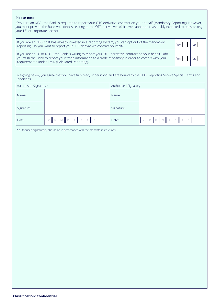## **Please note,**

If you are an NFC-, the Bank is required to report your OTC derivative contract on your behalf (Mandatory Reporting). However, you must provide the Bank with details relating to the OTC derivatives which we cannot be reasonably expected to possess (e.g. your LEI or corporate sector).

| If you are an NFC- that has already invested in a reporting system, you can opt out of the mandatory<br>reporting. Do you want to report your OTC derivatives contract yourself?                                                                                    | N <sub>0</sub> |
|---------------------------------------------------------------------------------------------------------------------------------------------------------------------------------------------------------------------------------------------------------------------|----------------|
| If you are an FC or NFC+, the Bank is willing to report your OTC derivative contract on your behalf. Ddo<br>you wish the Bank to report your trade information to a trade repository in order to comply with your<br>requirements under EMIR (Delegated Reporting)? | No L           |

By signing below, you agree that you have fully read, understood and are bound by the EMIR Reporting Service Special Terms and Conditions.

| Authorised Signatory* |                | Authorised Signatory |                                   |  |  |  |  |
|-----------------------|----------------|----------------------|-----------------------------------|--|--|--|--|
| Name:                 |                | Name:                |                                   |  |  |  |  |
| Signature:            |                | Signature:           |                                   |  |  |  |  |
| Date:                 | $\vee$<br>IMMY | Date:                | M M Y<br>$\vee$<br>D<br>D<br>- 11 |  |  |  |  |

\* Authorised signature(s) should be in accordance with the mandate instructions.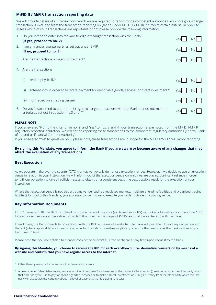## **MiFID II / MiFIR transaction reporting data**

We will provide details of all Transactions which we are required to report to the competent authorities. Your foreign exchange transaction is excluded from the transaction reporting obligation under MiFID II / MiFIR if it meets certain criteria. In order to assess which of your Transactions are reportable or not please provide the following information:

| $1_{\cdot}$ | Do you intend to enter into forward foreign exchange transaction with the Bank?<br>(If yes, proceed to no. 2)                                      | Yesl |      |
|-------------|----------------------------------------------------------------------------------------------------------------------------------------------------|------|------|
| 2.          | I am a financial counterparty as set out under EMIR<br>(If no, proceed to no. 3)                                                                   | Yesl |      |
|             | 3. Are the transactions a means of payment?                                                                                                        | Yesl | No.  |
|             | Are the transactions                                                                                                                               |      |      |
|             | settled physically? <sup>1</sup> ;<br>(i)                                                                                                          | Yesl |      |
|             | entered into in order to facilitate payment for identifiable goods, services or direct investment? <sup>2</sup> ;<br>(ii)                          | Yesl | No I |
|             | not traded on a trading venue?<br>(iii)                                                                                                            | Yesl | No I |
| 5.          | Do you (also) intend to enter into foreign exchange transactions with the Bank that do not meet the<br>criteria as set out in question no.3 and 4? | Yes. |      |

## **PLEASE NOTE:**

If you answered "No" to the criterion in no. 2 and "Yes" to nos. 3 and 4, your transaction is exempted from the MiFID II/MiFIR regulatory reporting obligation. We will not be reporting these transactions to the competent regulatory authorities (Central Bank of Ireland or Financial Conduct Authority).

If you answered "Yes" to question no 5, please note, these transactions are in scope for the MiFID II/MiFIR regulatory reporting.

## **By signing this Mandate, you agree to inform the Bank if you are aware or become aware of any changes that may affect the evaluation of any Transactions.**

## **Best Execution**

As we operate in the over-the-counter (OTC) market, we typically do not use execution venues. However, if we decide to use an execution venue in relation to your Instruction, we will inform you of the execution venue on which we are placing significant reliance in order to fulfil our obligation to take all sufficient steps to obtain, on a consistent basis, the best possible result for the execution of your Instruction.

Where that execution venue is not also a trading venue (such as regulated markets, multilateral trading facilities and organised trading facilities), by signing this Mandate, you expressly consent to us to execute your order outside of a trading venue.

## **Key Information Documents**

From 1 January 2018, the Bank is obliged to provide its retail investors (as defined in PRIIPs) with a key information document (the "KID") for each over-the-counter derivative transaction that is within the scope of PRIIPs and that they enter into with the Bank.

In each case, the Bank intends to provide you with the KID by means of a website. The Bank will post the KID and any revised version thereof (where applicable) on its website at www.bankofireland.com/treasurylibrary or such other website as the Bank notifies to you from time to time.

Please note that you are entitled to a paper copy of the relevant KID free of charge at any time upon request to the Bank.

## **By signing this Mandate, you choose to receive the KID for each over-the-counter derivative transaction by means of a website and confirm that you have regular access to the internet.**

- <sup>1</sup> Other than by reason of a default or other termination events.
- <sup>2</sup> An example for "identifiable goods, services or direct investment" is where one of the parties to the contract (i) sells currency to the other party which that other party will use to pay for specific goods or services or to make a direct investment or (ii) buys currency from the other party which the first party will use to achieve certainty about the level of payments that it is going to receive.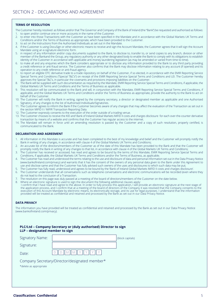## **TERMS OF RESOLUTION**

- The Customer hereby resolved as follows and/or that The Governor and Company of the Bank of Ireland (the "Bank") be requested and authorised as follows: 1. to open and/or continue one or more accounts in the name of the Customer.
- 2. to enter into those Transactions with the Customer as have been specified in the Mandate and in accordance with the Global Markets UK Terms and Conditions and/or the Terms of Business as appropriate, which have been provided to the Customer.
- 3. to act on the Instructions from the Authorised Individuals as set out in the Mandate.<br>4. If the Customer is using DocuSign or other electronic means to receive and sign the 4. If the Customer is using DocuSign or other electronic means to receive and sign the Account Mandate, the Customer agrees that it will sign the Account
- Mandate using an e-signature electronic form.
- 5. in respect of any information and/or copy documents supplied to the Bank, to disclose to, transfer to, or send copies to any branch, division or other member of the Bankand the Group, any regulatory authority or any other designated body to enable the Bank to comply with its obligations to establish identity of the Customer in accordance with applicable anti-money laundering legislation (as may be amended or varied from time to time).
- 6. to make all and any enquiries which the Bank considers appropriate or to disclose any information provided to the Bank to any third party providing a credit reference or anti-fraud service. The Customer also confirms that the Bank may disclose information relating to any account (if opened) and its operation to any credit reference or anti-fraud agency.
- 7. to report an eligible OTC derivative trade to a trade repository on behalf of the Customer, if so elected, in accordance with the EMIR Reporting Service Special Terms and Conditions ("Special T&C's") on receipt of the EMIR Reporting Service Special Terms and Conditions and LEI. The Customer hereby approves the Special T&C's, in particular the covenants and provisions imposing liabilities on the Customer.
- 8. The Bank will be supplied with such documentation as required by the Mandate, EMIR Reporting Service Special Terms and Conditions, if applicable, the Global Markets UK Terms and Conditions and the Terms of Business as applicable.
- 9. This resolution will be communicated to the Bank and will, in conjunction with the Mandate, EMIR Reporting Service Special Terms and Conditions, if applicable, and the Global Markets UK Terms and Conditions and/or the Terms of Business as appropriate, provide the authority to the Bank to act on behalf of the Customer.
- 10. The Customer will notify the Bank in writing, signed by the company secretary, a director or designated member as applicable and one Authorised Signatory, of any changes to the list of Authorised Individuals/Signatories.
- 11. The Customer agrees to inform the Bank if the Customer becomes aware of any changes that may affect the evaluation of the Transaction as set out in the section MiFID II / MiFIR Transaction Reporting Data.
- 12. The Customer expressly consents to the execution of the order outside of a trading venue.
- 13. The Customer chooses to receive the KID and' Bank of Ireland Global Markets MiFID II costs and charges disclosure for each over-the-counter derivative transaction by means of a website and confirms that the Customer has regular access to the internet.
- 14. The Mandate will remain in force until an amending resolution is passed by the Customer and a copy of such resolution, properly certified, is communicated to the Bank.

### **DECLARATION AND AGREEMENT**

- 1. All information in this Mandate is accurate and has been completed to the best of my knowledge and belief and the Customer will promptly notify the Bank in writing of any changes, in accordance with clause 4 of the Global Markets UK Terms and Conditions;
- 2. An accurate list of the directors/members of the Customer as of the date of this Mandate has been provided to the Bank and that the Customer will promptly notify the Bank in writing of any changes to that list, in accordance with clause 4 of the Global Markets UK Terms and Conditions;
- 3. The Customer has received or accessed, has read and agrees to be bound by the terms of this Mandate, EMIR Reporting Service Special Terms and Conditions, if applicable, the Global Markets UK Terms and Conditions and/or the Terms of Business, as applicable;
- 4. The Customer has read and understood the terms relating to the use and disclosure of data and personal information set out in the Data Privacy Notice (www.bankofireland.com/privacy) and warrants that it has the consent of the owners of any personal data given to the Bank under this Agreement to use and disclose same and that the Customer has fully advised such owners of the uses and disclosures to which such data may be put;
- 5. The Customer has fully read, understood and agrees to be bound by the 'Bank of Ireland Global Markets MiFID II costs and charges disclosure'.
- 6. The Customer understands that all conversations such as telephone conversations and electronic communications will be recorded (even where they do not lead to the conclusion of a Transaction.
- 7. The resolution on this page was duly passed at a meeting of the board of directors/members of the Customer on the date below.
- 8. Where an electronic signature is used to sign the document the following additional clauses apply: I confirm that I have read and agree to the above. In order to fully process this application, I will provide an electronic signature at the next stage of the application process, and I confirm that at a meeting of the board of directors of the Company it was resolved that the Company consents to the execution of this Account Mandate by electronic means, its electronically storage, and its use for legal purposes. I understand that the information provided will be treated as confidential and retained and processed by the Bank as set out in our Data Privacy Notice.

#### **DATA PRIVACY**

The information you have provided will be treated as confidential and retained and processed by the Bank as set out in our Data Privacy Notice (www.bankofireland.com/privacy).

#### **PLC/Ltd – Company Secretary or (duly authorised) Director to sign LLP – designated member to sign**

| <b>Signatory Name:</b>   |                          | (block capitals) |
|--------------------------|--------------------------|------------------|
| Signature:               |                          |                  |
| Date:                    | $D  D  M  M  Y  Y  Y  Y$ |                  |
| $\overline{\phantom{0}}$ |                          |                  |

Company Secretary/Director/designated member\* \*delete as appropriate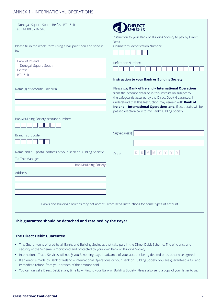# ANNEX 1 - INTERNATIONAL OPERATIONS

| 1 Donegall Square South, Belfast, BT1 5LR<br>Tel: +44 80 0776 616                                |                                                                                                                                                                                                                                                                                                                                                                                                                                |
|--------------------------------------------------------------------------------------------------|--------------------------------------------------------------------------------------------------------------------------------------------------------------------------------------------------------------------------------------------------------------------------------------------------------------------------------------------------------------------------------------------------------------------------------|
| Please fill in the whole form using a ball point pen and send it<br>to:                          | Instruction to your Bank or Building Society to pay by Direct<br>Debit<br>Originator's Identification Number:                                                                                                                                                                                                                                                                                                                  |
| Bank of Ireland<br>1 Donegall Square South<br><b>Belfast</b><br>BT1 5LR                          | Reference Number:                                                                                                                                                                                                                                                                                                                                                                                                              |
| Name(s) of Account Holder(s):                                                                    | <b>Instruction to your Bank or Building Society</b><br>Please pay Bank of Ireland - International Operations<br>from the account detailed in this Instruction subject to<br>the safeguards assured by the Direct Debit Guarantee. I<br>understand that this Instruction may remain with <b>Bank of</b><br>Ireland - International Operations and, if so, details will be<br>passed electronically to my Bank/Building Society. |
| Bank/Building Society account number:<br>Branch sort code:                                       | Signature(s):                                                                                                                                                                                                                                                                                                                                                                                                                  |
| Name and full postal address of your Bank or Building Society:<br>To: The Manager                | Date:                                                                                                                                                                                                                                                                                                                                                                                                                          |
| Bank/Building Society<br>Address                                                                 |                                                                                                                                                                                                                                                                                                                                                                                                                                |
|                                                                                                  | Banks and Building Societies may not accept Direct Debit Instructions for some types of account                                                                                                                                                                                                                                                                                                                                |
| This guarantee should be detached and retained by the Payer<br><b>The Direct Debit Guarentee</b> |                                                                                                                                                                                                                                                                                                                                                                                                                                |

- This Guarantee is offered by all Banks and Building Societies that take part in the Direct Debit Scheme. The efficiency and security of the Scheme is monitored and protected by your own Bank or Building Society.
- International Trade Services will notify you 3 working days in advance of your account being debited or as otherwise agreed.
- If an error is made by Bank of Ireland International Operations or your Bank or Building Society, you are guaranteed a full and immediate refund from your branch of the amount paid.
- You can cancel a Direct Debit at any time by writing to your Bank or Building Society. Please also send a copy of your letter to us.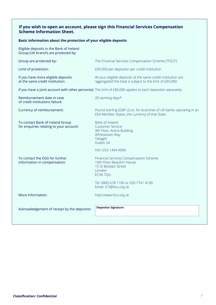# **If you wish to open an account, please sign this Financial Services Compensation Scheme Information Sheet.**

## **Basic information about the protection of your eligible deposits**

Eligible deposits in the Bank of Ireland Group (UK branch) are protected by:

| Group are protected by:                                                     | The Financial Services Compensation Scheme ("FSCS")                                                                          |
|-----------------------------------------------------------------------------|------------------------------------------------------------------------------------------------------------------------------|
| Limit of protection:                                                        | £85,000 per depositor per credit institution                                                                                 |
| If you have more eligible deposits<br>at the same credit institution:       | All your eligible deposits' at the same credit institution are<br>'aggregated' the total is subject to the limit of £85,000. |
|                                                                             | If you have a joint account with other person(s): The limit of £85,000 applies to each depositor separately.                 |
| Reimbursement date in case<br>of credit institutions failure:               | 20 working days*                                                                                                             |
| Currency of reimbursement:                                                  | Pound sterling (GBP, £) or, for branches of UK banks operating in an<br>EEA Member States, the currency of that State.       |
| To contact Bank of Ireland Group<br>for enquiries relating to your account: | Bank of Ireland<br><b>Customer Service</b><br>4th Floor, Arena Building<br>Whitestown Way<br>Tallaght<br>Dublin 24           |
|                                                                             | Intl:+353 1404 4000                                                                                                          |
| To contact the DGS for further<br>information in compensation:              | Financial Services Compensation Scheme<br>10th Floor Beaufort House<br>15 St Botolph Street<br>London<br>EC3A 7QU            |
|                                                                             | Tel: 0800 678 1100 or 020 7741 4100<br>Email: ICT@fscs.org.uk                                                                |
| More Information                                                            | http://www.fscs.org.uk                                                                                                       |
| Acknowledgement of receipt by the depositor                                 | <b>Depositor Signature</b>                                                                                                   |
|                                                                             |                                                                                                                              |